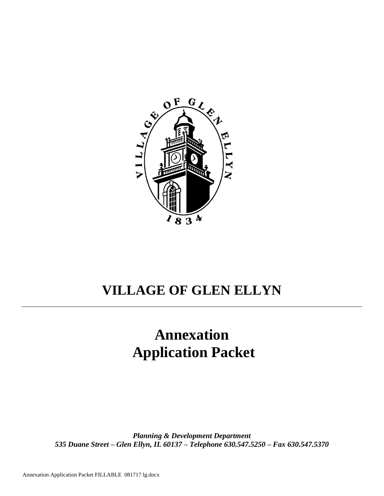

## **VILLAGE OF GLEN ELLYN**

# **Annexation Application Packet**

*Planning & Development Department 535 Duane Street – Glen Ellyn, IL 60137 – Telephone 630.547.5250 – Fax 630.547.5370*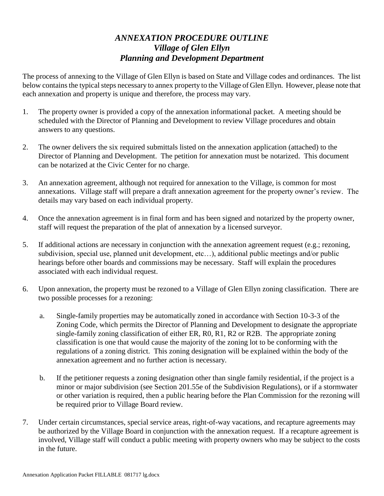## *ANNEXATION PROCEDURE OUTLINE Village of Glen Ellyn Planning and Development Department*

The process of annexing to the Village of Glen Ellyn is based on State and Village codes and ordinances. The list below contains the typical steps necessary to annex property to the Village of Glen Ellyn. However, please note that each annexation and property is unique and therefore, the process may vary.

- 1. The property owner is provided a copy of the annexation informational packet. A meeting should be scheduled with the Director of Planning and Development to review Village procedures and obtain answers to any questions.
- 2. The owner delivers the six required submittals listed on the annexation application (attached) to the Director of Planning and Development. The petition for annexation must be notarized. This document can be notarized at the Civic Center for no charge.
- 3. An annexation agreement, although not required for annexation to the Village, is common for most annexations. Village staff will prepare a draft annexation agreement for the property owner's review. The details may vary based on each individual property.
- 4. Once the annexation agreement is in final form and has been signed and notarized by the property owner, staff will request the preparation of the plat of annexation by a licensed surveyor.
- 5. If additional actions are necessary in conjunction with the annexation agreement request (e.g.; rezoning, subdivision, special use, planned unit development, etc…), additional public meetings and/or public hearings before other boards and commissions may be necessary. Staff will explain the procedures associated with each individual request.
- 6. Upon annexation, the property must be rezoned to a Village of Glen Ellyn zoning classification. There are two possible processes for a rezoning:
	- a. Single-family properties may be automatically zoned in accordance with Section 10-3-3 of the Zoning Code, which permits the Director of Planning and Development to designate the appropriate single-family zoning classification of either ER, R0, R1, R2 or R2B. The appropriate zoning classification is one that would cause the majority of the zoning lot to be conforming with the regulations of a zoning district. This zoning designation will be explained within the body of the annexation agreement and no further action is necessary.
	- b. If the petitioner requests a zoning designation other than single family residential, if the project is a minor or major subdivision (see Section 201.55e of the Subdivision Regulations), or if a stormwater or other variation is required, then a public hearing before the Plan Commission for the rezoning will be required prior to Village Board review.
- 7. Under certain circumstances, special service areas, right-of-way vacations, and recapture agreements may be authorized by the Village Board in conjunction with the annexation request. If a recapture agreement is involved, Village staff will conduct a public meeting with property owners who may be subject to the costs in the future.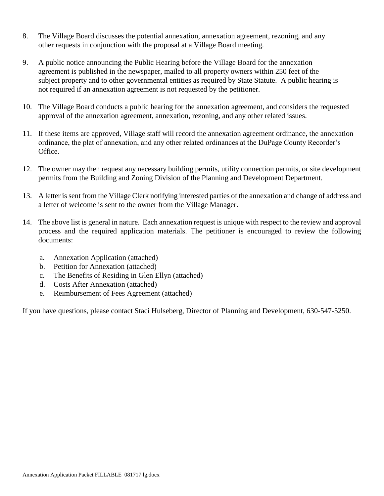- 8. The Village Board discusses the potential annexation, annexation agreement, rezoning, and any other requests in conjunction with the proposal at a Village Board meeting.
- 9. A public notice announcing the Public Hearing before the Village Board for the annexation agreement is published in the newspaper, mailed to all property owners within 250 feet of the subject property and to other governmental entities as required by State Statute. A public hearing is not required if an annexation agreement is not requested by the petitioner.
- 10. The Village Board conducts a public hearing for the annexation agreement, and considers the requested approval of the annexation agreement, annexation, rezoning, and any other related issues.
- 11. If these items are approved, Village staff will record the annexation agreement ordinance, the annexation ordinance, the plat of annexation, and any other related ordinances at the DuPage County Recorder's Office.
- 12. The owner may then request any necessary building permits, utility connection permits, or site development permits from the Building and Zoning Division of the Planning and Development Department.
- 13. A letter is sent from the Village Clerk notifying interested parties of the annexation and change of address and a letter of welcome is sent to the owner from the Village Manager.
- 14. The above list is general in nature. Each annexation request is unique with respect to the review and approval process and the required application materials. The petitioner is encouraged to review the following documents:
	- a. Annexation Application (attached)
	- b. Petition for Annexation (attached)
	- c. The Benefits of Residing in Glen Ellyn (attached)
	- d. Costs After Annexation (attached)
	- e. Reimbursement of Fees Agreement (attached)

If you have questions, please contact Staci Hulseberg, Director of Planning and Development, 630-547-5250.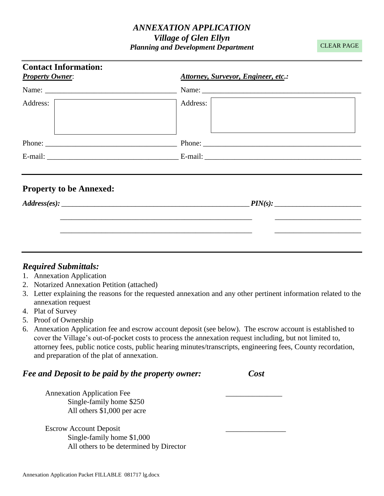## *ANNEXATION APPLICATION Village of Glen Ellyn Planning and Development Department*

CLEAR PAGE

| <b>Contact Information:</b><br><b>Property Owner:</b> | Attorney, Surveyor, Engineer, etc.:                              |
|-------------------------------------------------------|------------------------------------------------------------------|
|                                                       |                                                                  |
| Address:                                              | Address:<br><u> 1989 - Johann Barn, fransk politik (d. 1989)</u> |
|                                                       | Phone:                                                           |
|                                                       |                                                                  |
| <b>Property to be Annexed:</b>                        |                                                                  |
| Address(es):                                          |                                                                  |
|                                                       |                                                                  |
|                                                       |                                                                  |

### *Required Submittals:*

- 1. Annexation Application
- 2. Notarized Annexation Petition (attached)
- 3. Letter explaining the reasons for the requested annexation and any other pertinent information related to the annexation request
- 4. Plat of Survey
- 5. Proof of Ownership
- 6. Annexation Application fee and escrow account deposit (see below). The escrow account is established to cover the Village's out-of-pocket costs to process the annexation request including, but not limited to, attorney fees, public notice costs, public hearing minutes/transcripts, engineering fees, County recordation, and preparation of the plat of annexation.

| <b>Fee and Deposit to be paid by the property owner:</b> | Cost |
|----------------------------------------------------------|------|
| <b>Annexation Application Fee</b>                        |      |
| Single-family home \$250                                 |      |
| All others \$1,000 per acre                              |      |
| <b>Escrow Account Deposit</b>                            |      |
| Single-family home \$1,000                               |      |

All others to be determined by Director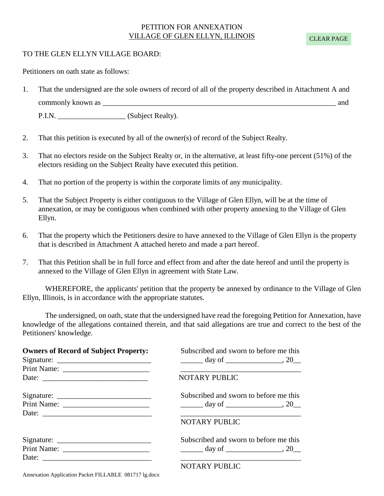#### PETITION FOR ANNEXATION VILLAGE OF GLEN ELLYN, ILLINOIS

#### TO THE GLEN ELLYN VILLAGE BOARD:

Petitioners on oath state as follows:

1. That the undersigned are the sole owners of record of all of the property described in Attachment A and commonly known as \_\_\_\_\_\_\_\_\_\_\_\_\_\_\_\_\_\_\_\_\_\_\_\_\_\_\_\_\_\_\_\_\_\_\_\_\_\_\_\_\_\_\_\_\_\_\_\_\_\_\_\_\_\_\_\_\_\_\_\_\_\_ and P.I.N. \_\_\_\_\_\_\_\_\_\_\_\_\_\_\_\_\_\_\_\_\_\_\_\_\_(Subject Realty).

- 2. That this petition is executed by all of the owner(s) of record of the Subject Realty.
- 3. That no electors reside on the Subject Realty or, in the alternative, at least fifty-one percent (51%) of the electors residing on the Subject Realty have executed this petition.
- 4. That no portion of the property is within the corporate limits of any municipality.
- 5. That the Subject Property is either contiguous to the Village of Glen Ellyn, will be at the time of annexation, or may be contiguous when combined with other property annexing to the Village of Glen Ellyn.
- 6. That the property which the Petitioners desire to have annexed to the Village of Glen Ellyn is the property that is described in Attachment A attached hereto and made a part hereof.
- 7. That this Petition shall be in full force and effect from and after the date hereof and until the property is annexed to the Village of Glen Ellyn in agreement with State Law.

WHEREFORE, the applicants' petition that the property be annexed by ordinance to the Village of Glen Ellyn, Illinois, is in accordance with the appropriate statutes.

The undersigned, on oath, state that the undersigned have read the foregoing Petition for Annexation, have knowledge of the allegations contained therein, and that said allegations are true and correct to the best of the Petitioners' knowledge.

| <b>Owners of Record of Subject Property:</b> | Subscribed and sworn to before me this                                                                               |
|----------------------------------------------|----------------------------------------------------------------------------------------------------------------------|
|                                              |                                                                                                                      |
|                                              |                                                                                                                      |
| Date:                                        | <b>NOTARY PUBLIC</b>                                                                                                 |
|                                              | Subscribed and sworn to before me this                                                                               |
|                                              | $\frac{1}{2}$ day of $\frac{1}{2}$ , 20                                                                              |
| Date:                                        | <u> 1989 - Andrea Santa Alemania, amerikana amerikana amerikana amerikana amerikana amerikana amerikana amerikan</u> |
|                                              | NOTARY PUBLIC                                                                                                        |
|                                              | Subscribed and sworn to before me this                                                                               |
|                                              | $\frac{1}{2}$ day of $\frac{1}{2}$ , 20                                                                              |
|                                              |                                                                                                                      |
|                                              | NOTARY PUBLIC                                                                                                        |

Annexation Application Packet FILLABLE 081717 lg.docx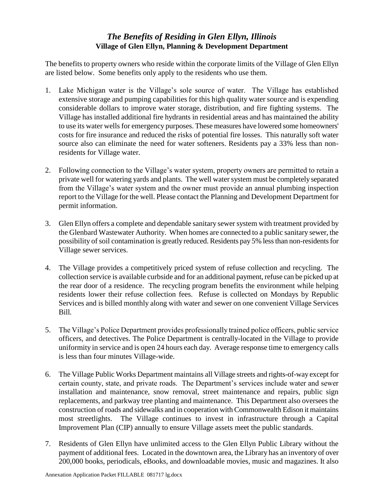## *The Benefits of Residing in Glen Ellyn, Illinois*  **Village of Glen Ellyn, Planning & Development Department**

The benefits to property owners who reside within the corporate limits of the Village of Glen Ellyn are listed below. Some benefits only apply to the residents who use them.

- 1. Lake Michigan water is the Village's sole source of water. The Village has established extensive storage and pumping capabilities for this high quality water source and is expending considerable dollars to improve water storage, distribution, and fire fighting systems. The Village has installed additional fire hydrants in residential areas and has maintained the ability to use its water wells for emergency purposes. These measures have lowered some homeowners' costs for fire insurance and reduced the risks of potential fire losses. This naturally soft water source also can eliminate the need for water softeners. Residents pay a 33% less than nonresidents for Village water.
- 2. Following connection to the Village's water system, property owners are permitted to retain a private well for watering yards and plants. The well water system must be completely separated from the Village's water system and the owner must provide an annual plumbing inspection report to the Village for the well. Please contact the Planning and Development Department for permit information.
- 3. Glen Ellyn offers a complete and dependable sanitary sewer system with treatment provided by the Glenbard Wastewater Authority. When homes are connected to a public sanitary sewer, the possibility of soil contamination is greatly reduced. Residents pay 5% less than non-residents for Village sewer services.
- 4. The Village provides a competitively priced system of refuse collection and recycling. The collection service is available curbside and for an additional payment, refuse can be picked up at the rear door of a residence. The recycling program benefits the environment while helping residents lower their refuse collection fees. Refuse is collected on Mondays by Republic Services and is billed monthly along with water and sewer on one convenient Village Services Bill*.*
- 5. The Village's Police Department provides professionally trained police officers, public service officers, and detectives. The Police Department is centrally-located in the Village to provide uniformity in service and is open 24 hours each day. Average response time to emergency calls is less than four minutes Village-wide.
- 6. The Village Public Works Department maintains all Village streets and rights-of-way except for certain county, state, and private roads. The Department's services include water and sewer installation and maintenance, snow removal, street maintenance and repairs, public sign replacements, and parkway tree planting and maintenance. This Department also oversees the construction of roads and sidewalks and in cooperation with Commonwealth Edison it maintains most streetlights. The Village continues to invest in infrastructure through a Capital Improvement Plan (CIP) annually to ensure Village assets meet the public standards.
- 7. Residents of Glen Ellyn have unlimited access to the Glen Ellyn Public Library without the payment of additional fees. Located in the downtown area, the Library has an inventory of over 200,000 books, periodicals, eBooks, and downloadable movies, music and magazines. It also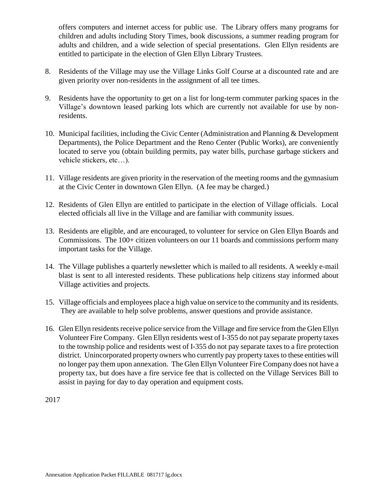offers computers and internet access for public use. The Library offers many programs for children and adults including Story Times, book discussions, a summer reading program for adults and children, and a wide selection of special presentations. Glen Ellyn residents are entitled to participate in the election of Glen Ellyn Library Trustees.

- 8. Residents of the Village may use the Village Links Golf Course at a discounted rate and are given priority over non-residents in the assignment of all tee times.
- 9. Residents have the opportunity to get on a list for long-term commuter parking spaces in the Village's downtown leased parking lots which are currently not available for use by nonresidents.
- 10. Municipal facilities, including the Civic Center (Administration and Planning & Development Departments), the Police Department and the Reno Center (Public Works), are conveniently located to serve you (obtain building permits, pay water bills, purchase garbage stickers and vehicle stickers, etc…).
- 11. Village residents are given priority in the reservation of the meeting rooms and the gymnasium at the Civic Center in downtown Glen Ellyn. (A fee may be charged.)
- 12. Residents of Glen Ellyn are entitled to participate in the election of Village officials. Local elected officials all live in the Village and are familiar with community issues.
- 13. Residents are eligible, and are encouraged, to volunteer for service on Glen Ellyn Boards and Commissions. The 100+ citizen volunteers on our 11 boards and commissions perform many important tasks for the Village.
- 14. The Village publishes a quarterly newsletter which is mailed to all residents. A weekly e-mail blast is sent to all interested residents. These publications help citizens stay informed about Village activities and projects.
- 15. Village officials and employees place a high value on service to the community and its residents. They are available to help solve problems, answer questions and provide assistance.
- 16. Glen Ellyn residents receive police service from the Village and fire service from the Glen Ellyn Volunteer Fire Company. Glen Ellyn residents west of I-355 do not pay separate property taxes to the township police and residents west of I-355 do not pay separate taxes to a fire protection district. Unincorporated property owners who currently pay property taxes to these entities will no longer pay them upon annexation. The Glen Ellyn Volunteer Fire Company does not have a property tax, but does have a fire service fee that is collected on the Village Services Bill to assist in paying for day to day operation and equipment costs.

2017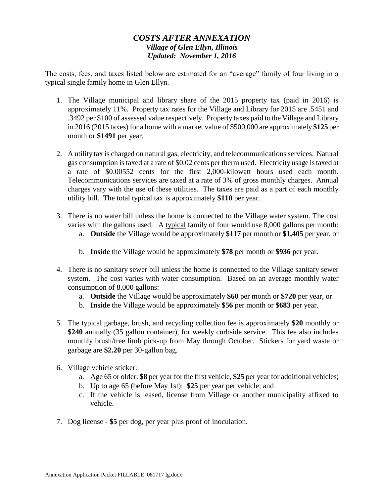## *COSTS AFTER ANNEXATION Village of Glen Ellyn, Illinois Updated: November 1, 2016*

The costs, fees, and taxes listed below are estimated for an "average" family of four living in a typical single family home in Glen Ellyn.

- 1. The Village municipal and library share of the 2015 property tax (paid in 2016) is approximately 11%. Property tax rates for the Village and Library for 2015 are .5451 and .3492 per \$100 of assessed value respectively. Property taxes paid to the Village and Library in 2016 (2015 taxes) for a home with a market value of \$500,000 are approximately **\$125** per month or **\$1491** per year.
- 2. A utility tax is charged on natural gas, electricity, and telecommunications services. Natural gas consumption is taxed at a rate of \$0.02 cents per therm used. Electricity usage is taxed at a rate of \$0.00552 cents for the first 2,000-kilowatt hours used each month. Telecommunications services are taxed at a rate of 3% of gross monthly charges. Annual charges vary with the use of these utilities. The taxes are paid as a part of each monthly utility bill. The total typical tax is approximately **\$110** per year.
- 3. There is no water bill unless the home is connected to the Village water system. The cost varies with the gallons used. A typical family of four would use 8,000 gallons per month:
	- a. **Outside** the Village would be approximately **\$117** per month or **\$1,405** per year, or
	- b. **Inside** the Village would be approximately **\$78** per month or **\$936** per year.
- 4. There is no sanitary sewer bill unless the home is connected to the Village sanitary sewer system. The cost varies with water consumption. Based on an average monthly water consumption of 8,000 gallons:
	- a. **Outside** the Village would be approximately **\$60** per month or **\$720** per year, or
	- b. **Inside** the Village would be approximately **\$56** per month or **\$683** per year.
- 5. The typical garbage, brush, and recycling collection fee is approximately **\$20** monthly or **\$240** annually (35 gallon container), for weekly curbside service. This fee also includes monthly brush/tree limb pick-up from May through October. Stickers for yard waste or garbage are **\$2.20** per 30-gallon bag.
- 6. Village vehicle sticker:
	- a. Age 65 or older: **\$8** per year for the first vehicle, **\$25** per year for additional vehicles;
	- b. Up to age 65 (before May 1st): **\$25** per year per vehicle; and
	- c. If the vehicle is leased, license from Village or another municipality affixed to vehicle.
- 7. Dog license **\$5** per dog, per year plus proof of inoculation.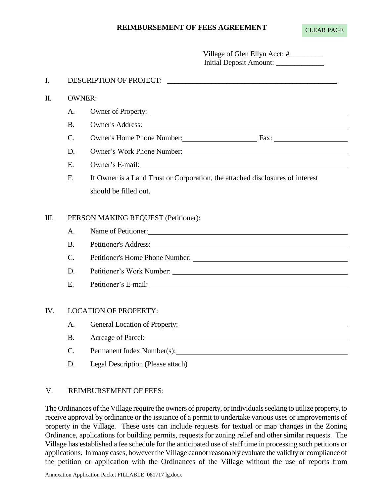#### **REIMBURSEMENT OF FEES AGREEMENT**

|     |                              | Village of Glen Ellyn Acct: #_________<br>Initial Deposit Amount:                                                                                                                                                              |  |
|-----|------------------------------|--------------------------------------------------------------------------------------------------------------------------------------------------------------------------------------------------------------------------------|--|
| I.  |                              |                                                                                                                                                                                                                                |  |
| Π.  | <b>OWNER:</b>                |                                                                                                                                                                                                                                |  |
|     | A.                           | Owner of Property:                                                                                                                                                                                                             |  |
|     | <b>B.</b>                    | Owner's Address:                                                                                                                                                                                                               |  |
|     | $\mathcal{C}$ .              | Owner's Home Phone Number: Fax: Fax:                                                                                                                                                                                           |  |
|     | D.                           |                                                                                                                                                                                                                                |  |
|     | E.                           | Owner's E-mail: New York Contract Contract Contract Contract Contract Contract Contract Contract Contract Contract Contract Contract Contract Contract Contract Contract Contract Contract Contract Contract Contract Contract |  |
|     | F.                           | If Owner is a Land Trust or Corporation, the attached disclosures of interest                                                                                                                                                  |  |
|     |                              | should be filled out.                                                                                                                                                                                                          |  |
| Ш.  | A.<br><b>B.</b>              | PERSON MAKING REQUEST (Petitioner):<br>Name of Petitioner:                                                                                                                                                                     |  |
|     | $C_{\cdot}$                  | Petitioner's Home Phone Number:                                                                                                                                                                                                |  |
|     | D.                           |                                                                                                                                                                                                                                |  |
|     | E.                           |                                                                                                                                                                                                                                |  |
|     |                              |                                                                                                                                                                                                                                |  |
| IV. | <b>LOCATION OF PROPERTY:</b> |                                                                                                                                                                                                                                |  |
|     | A.                           |                                                                                                                                                                                                                                |  |
|     | <b>B.</b>                    | Acreage of Parcel: <u>Container and the set of Parcel</u>                                                                                                                                                                      |  |
|     |                              |                                                                                                                                                                                                                                |  |

- C. Permanent Index Number(s):
- D. Legal Description (Please attach)

#### V. REIMBURSEMENT OF FEES:

The Ordinances of the Village require the owners of property, or individuals seeking to utilize property, to receive approval by ordinance or the issuance of a permit to undertake various uses or improvements of property in the Village. These uses can include requests for textual or map changes in the Zoning Ordinance, applications for building permits, requests for zoning relief and other similar requests. The Village has established a fee schedule for the anticipated use of staff time in processing such petitions or applications. In many cases, however the Village cannot reasonablyevaluate the validityor compliance of the petition or application with the Ordinances of the Village without the use of reports from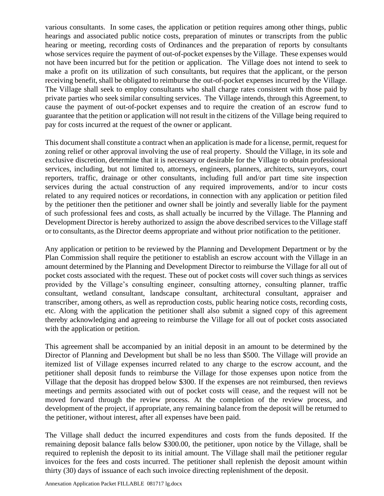various consultants. In some cases, the application or petition requires among other things, public hearings and associated public notice costs, preparation of minutes or transcripts from the public hearing or meeting, recording costs of Ordinances and the preparation of reports by consultants whose services require the payment of out-of-pocket expenses by the Village. These expenses would not have been incurred but for the petition or application. The Village does not intend to seek to make a profit on its utilization of such consultants, but requires that the applicant, or the person receiving benefit, shall be obligated to reimburse the out-of-pocket expenses incurred by the Village. The Village shall seek to employ consultants who shall charge rates consistent with those paid by private parties who seek similar consulting services. The Village intends, through this Agreement, to cause the payment of out-of-pocket expenses and to require the creation of an escrow fund to guarantee that the petition or application will not result in the citizens of the Village being required to pay for costs incurred at the request of the owner or applicant.

This document shall constitute a contract when an application is made for a license, permit, request for zoning relief or other approval involving the use of real property. Should the Village, in its sole and exclusive discretion, determine that it is necessary or desirable for the Village to obtain professional services, including, but not limited to, attorneys, engineers, planners, architects, surveyors, court reporters, traffic, drainage or other consultants, including full and/or part time site inspection services during the actual construction of any required improvements, and/or to incur costs related to any required notices or recordations, in connection with any application or petition filed by the petitioner then the petitioner and owner shall be jointly and severally liable for the payment of such professional fees and costs, as shall actually be incurred by the Village. The Planning and Development Director is hereby authorized to assign the above described services to the Village staff or to consultants, as the Director deems appropriate and without prior notification to the petitioner.

Any application or petition to be reviewed by the Planning and Development Department or by the Plan Commission shall require the petitioner to establish an escrow account with the Village in an amount determined by the Planning and Development Director to reimburse the Village for all out of pocket costs associated with the request. These out of pocket costs will cover such things as services provided by the Village's consulting engineer, consulting attorney, consulting planner, traffic consultant, wetland consultant, landscape consultant, architectural consultant, appraiser and transcriber, among others, as well as reproduction costs, public hearing notice costs, recording costs, etc. Along with the application the petitioner shall also submit a signed copy of this agreement thereby acknowledging and agreeing to reimburse the Village for all out of pocket costs associated with the application or petition.

This agreement shall be accompanied by an initial deposit in an amount to be determined by the Director of Planning and Development but shall be no less than \$500. The Village will provide an itemized list of Village expenses incurred related to any charge to the escrow account, and the petitioner shall deposit funds to reimburse the Village for those expenses upon notice from the Village that the deposit has dropped below \$300. If the expenses are not reimbursed, then reviews meetings and permits associated with out of pocket costs will cease, and the request will not be moved forward through the review process. At the completion of the review process, and development of the project, if appropriate, any remaining balance from the deposit will be returned to the petitioner, without interest, after all expenses have been paid.

The Village shall deduct the incurred expenditures and costs from the funds deposited. If the remaining deposit balance falls below \$300.00, the petitioner, upon notice by the Village, shall be required to replenish the deposit to its initial amount. The Village shall mail the petitioner regular invoices for the fees and costs incurred. The petitioner shall replenish the deposit amount within thirty (30) days of issuance of each such invoice directing replenishment of the deposit.